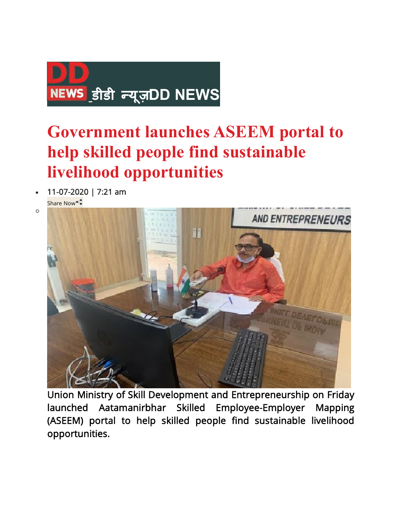

## **Government launches ASEEM portal to help skilled people find sustainable livelihood opportunities**

- **11-07-2020 | 7:21 am** 
	- Share Now

o



**Union Ministry of Skill Development and Entrepreneurship on Friday launched Aatamanirbhar Skilled Employee-Employer Mapping (ASEEM) portal to help skilled people find sustainable livelihood opportunities.**